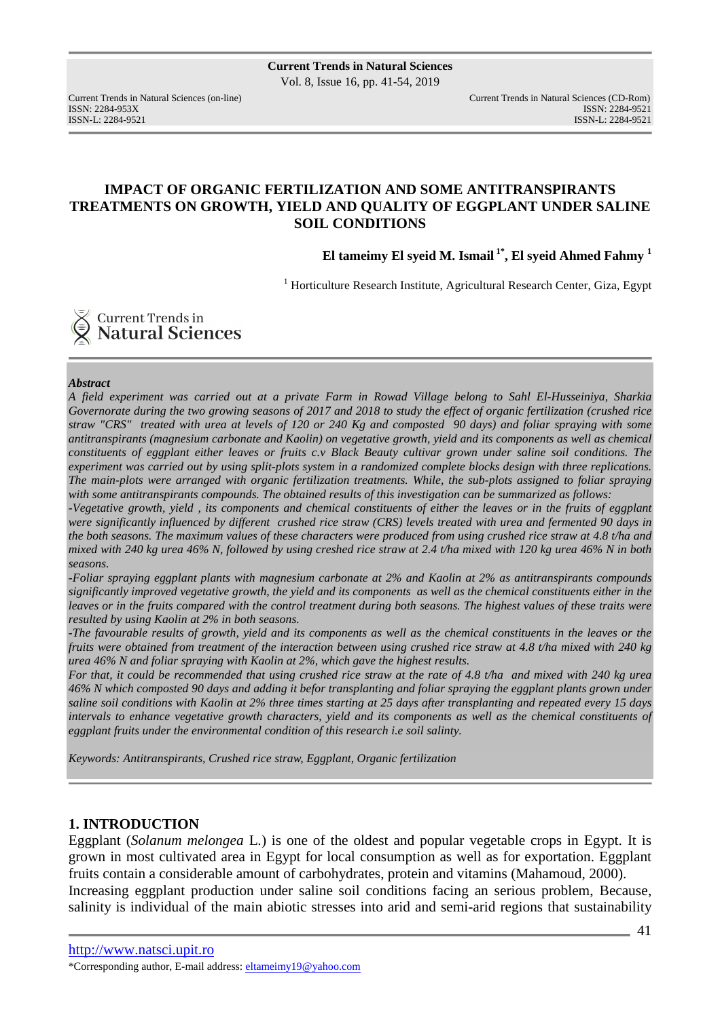# **IMPACT OF ORGANIC FERTILIZATION AND SOME ANTITRANSPIRANTS TREATMENTS ON GROWTH, YIELD AND QUALITY OF EGGPLANT UNDER SALINE SOIL CONDITIONS**

**El tameimy El syeid M. Ismail 1\*, El syeid Ahmed Fahmy <sup>1</sup>**

<sup>1</sup> Horticulture Research Institute, Agricultural Research Center, Giza, Egypt

**Current Trends in<br>Natural Sciences** 

#### *Abstract*

*A field experiment was carried out at a private Farm in Rowad Village belong to Sahl El-Husseiniya, Sharkia Governorate during the two growing seasons of 2017 and 2018 to study the effect of organic fertilization (crushed rice straw "CRS" treated with urea at levels of 120 or 240 Kg and composted 90 days) and foliar spraying with some antitranspirants (magnesium carbonate and Kaolin) on vegetative growth, yield and its components as well as chemical constituents of eggplant either leaves or fruits c.v Black Beauty cultivar grown under saline soil conditions. The experiment was carried out by using split-plots system in a randomized complete blocks design with three replications. The main-plots were arranged with organic fertilization treatments. While, the sub-plots assigned to foliar spraying*  with some antitranspirants compounds. The obtained results of this investigation can be summarized as follows:

*-Vegetative growth, yield , its components and chemical constituents of either the leaves or in the fruits of eggplant were significantly influenced by different crushed rice straw (CRS) levels treated with urea and fermented 90 days in the both seasons. The maximum values of these characters were produced from using crushed rice straw at 4.8 t/ha and mixed with 240 kg urea 46% N, followed by using creshed rice straw at 2.4 t/ha mixed with 120 kg urea 46% N in both seasons.* 

*-Foliar spraying eggplant plants with magnesium carbonate at 2% and Kaolin at 2% as antitranspirants compounds significantly improved vegetative growth, the yield and its components as well as the chemical constituents either in the leaves or in the fruits compared with the control treatment during both seasons. The highest values of these traits were resulted by using Kaolin at 2% in both seasons.* 

*-The favourable results of growth, yield and its components as well as the chemical constituents in the leaves or the fruits were obtained from treatment of the interaction between using crushed rice straw at 4.8 t/ha mixed with 240 kg urea 46% N and foliar spraying with Kaolin at 2%, which gave the highest results.* 

*For that, it could be recommended that using crushed rice straw at the rate of 4.8 t/ha and mixed with 240 kg urea 46% N which composted 90 days and adding it befor transplanting and foliar spraying the eggplant plants grown under saline soil conditions with Kaolin at 2% three times starting at 25 days after transplanting and repeated every 15 days intervals to enhance vegetative growth characters, yield and its components as well as the chemical constituents of eggplant fruits under the environmental condition of this research i.e soil salinty.* 

*Keywords: Antitranspirants, Crushed rice straw, Eggplant, Organic fertilization* 

### **1. INTRODUCTION**

Eggplant (*Solanum melongea* L.) is one of the oldest and popular vegetable crops in Egypt. It is grown in most cultivated area in Egypt for local consumption as well as for exportation. Eggplant fruits contain a considerable amount of carbohydrates, protein and vitamins (Mahamoud, 2000). Increasing eggplant production under saline soil conditions facing an serious problem, Because,

salinity is individual of the main abiotic stresses into arid and semi-arid regions that sustainability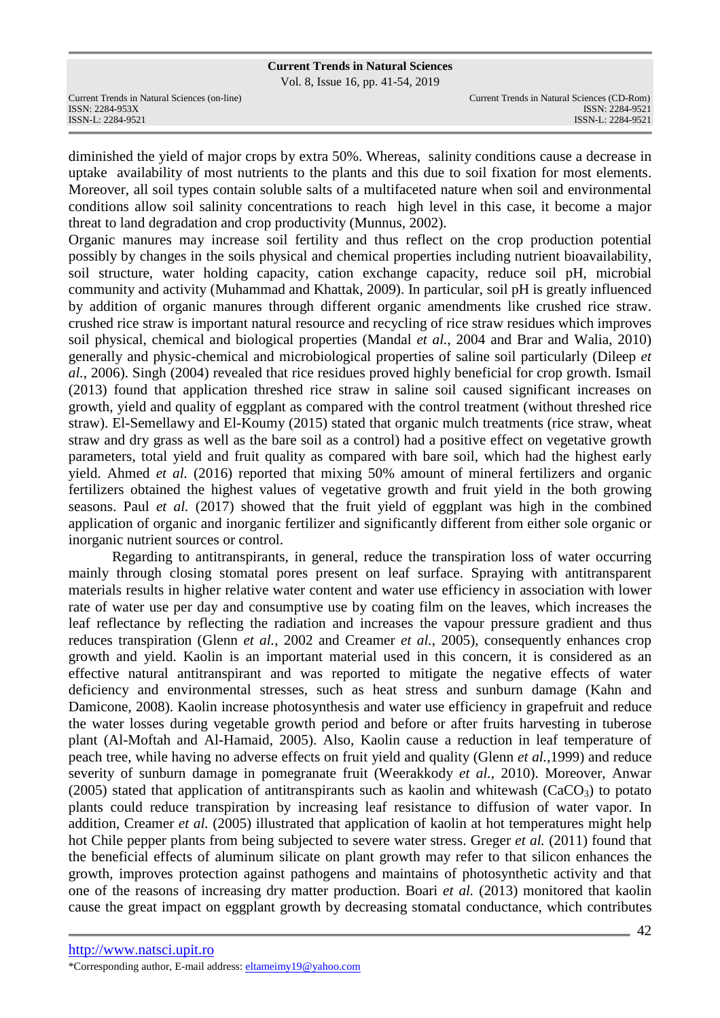Vol. 8, Issue 16, pp. 41-54, 2019

Current Trends in Natural Sciences (on-line) Current Trends in Natural Sciences (CD-Rom)

diminished the yield of major crops by extra 50%. Whereas, salinity conditions cause a decrease in uptake availability of most nutrients to the plants and this due to soil fixation for most elements. Moreover, all soil types contain soluble salts of a multifaceted nature when soil and environmental conditions allow soil salinity concentrations to reach high level in this case, it become a major threat to land degradation and crop productivity (Munnus, 2002).

Organic manures may increase soil fertility and thus reflect on the crop production potential possibly by changes in the soils physical and chemical properties including nutrient bioavailability, soil structure, water holding capacity, cation exchange capacity, reduce soil pH, microbial community and activity (Muhammad and Khattak, 2009). In particular, soil pH is greatly influenced by addition of organic manures through different organic amendments like crushed rice straw. crushed rice straw is important natural resource and recycling of rice straw residues which improves soil physical, chemical and biological properties (Mandal *et al.*, 2004 and Brar and Walia, 2010) generally and physic-chemical and microbiological properties of saline soil particularly (Dileep *et al.*, 2006). Singh (2004) revealed that rice residues proved highly beneficial for crop growth. Ismail (2013) found that application threshed rice straw in saline soil caused significant increases on growth, yield and quality of eggplant as compared with the control treatment (without threshed rice straw). El-Semellawy and El-Koumy (2015) stated that organic mulch treatments (rice straw, wheat straw and dry grass as well as the bare soil as a control) had a positive effect on vegetative growth parameters, total yield and fruit quality as compared with bare soil, which had the highest early yield. Ahmed *et al.* (2016) reported that mixing 50% amount of mineral fertilizers and organic fertilizers obtained the highest values of vegetative growth and fruit yield in the both growing seasons. Paul *et al.* (2017) showed that the fruit yield of eggplant was high in the combined application of organic and inorganic fertilizer and significantly different from either sole organic or inorganic nutrient sources or control.

Regarding to antitranspirants, in general, reduce the transpiration loss of water occurring mainly through closing stomatal pores present on leaf surface. Spraying with antitransparent materials results in higher relative water content and water use efficiency in association with lower rate of water use per day and consumptive use by coating film on the leaves, which increases the leaf reflectance by reflecting the radiation and increases the vapour pressure gradient and thus reduces transpiration (Glenn *et al.*, 2002 and Creamer *et al.*, 2005), consequently enhances crop growth and yield. Kaolin is an important material used in this concern, it is considered as an effective natural antitranspirant and was reported to mitigate the negative effects of water deficiency and environmental stresses, such as heat stress and sunburn damage (Kahn and Damicone, 2008). Kaolin increase photosynthesis and water use efficiency in grapefruit and reduce the water losses during vegetable growth period and before or after fruits harvesting in tuberose plant (Al-Moftah and Al-Hamaid, 2005). Also, Kaolin cause a reduction in leaf temperature of peach tree, while having no adverse effects on fruit yield and quality (Glenn *et al.,*1999) and reduce severity of sunburn damage in pomegranate fruit (Weerakkody *et al.*, 2010). Moreover, Anwar (2005) stated that application of antitranspirants such as kaolin and whitewash ( $CaCO<sub>3</sub>$ ) to potato plants could reduce transpiration by increasing leaf resistance to diffusion of water vapor. In addition, Creamer *et al.* (2005) illustrated that application of kaolin at hot temperatures might help hot Chile pepper plants from being subjected to severe water stress. Greger *et al.* (2011) found that the beneficial effects of aluminum silicate on plant growth may refer to that silicon enhances the growth, improves protection against pathogens and maintains of photosynthetic activity and that one of the reasons of increasing dry matter production. Boari *et al.* (2013) monitored that kaolin cause the great impact on eggplant growth by decreasing stomatal conductance, which contributes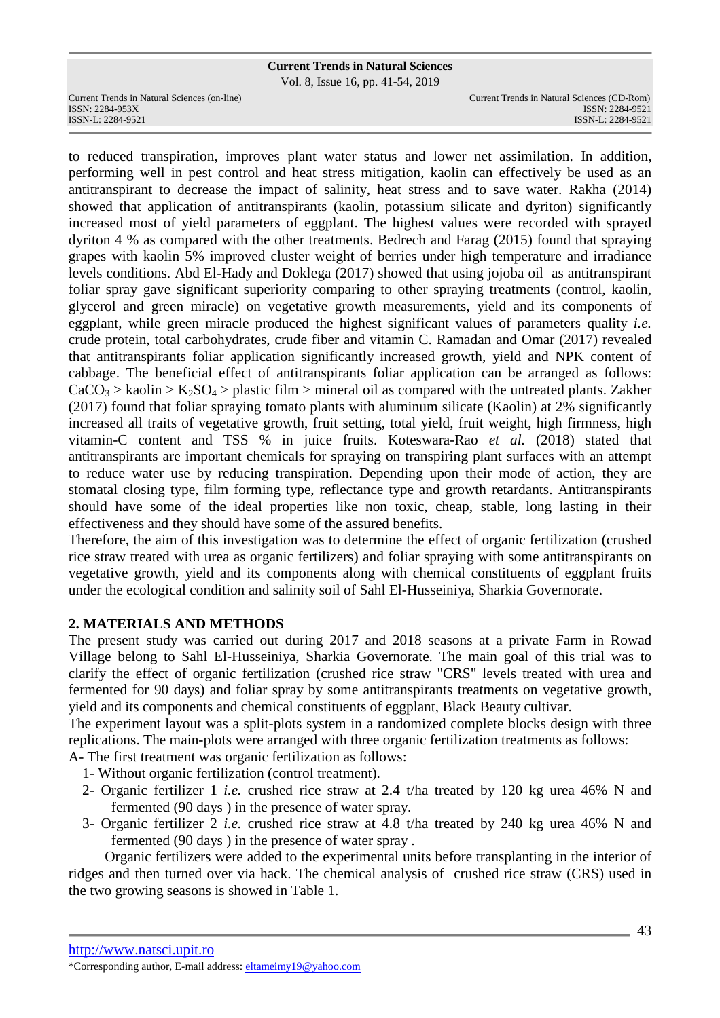Vol. 8, Issue 16, pp. 41-54, 2019

Current Trends in Natural Sciences (on-line) Current Trends in Natural Sciences (CD-Rom)

ISSN: 2284-953XISSN: 2284-9521 ISSN-L: 2284-9521 ISSN-L: 2284-9521

to reduced transpiration, improves plant water status and lower net assimilation. In addition, performing well in pest control and heat stress mitigation, kaolin can effectively be used as an antitranspirant to decrease the impact of salinity, heat stress and to save water. Rakha (2014) showed that application of antitranspirants (kaolin, potassium silicate and dyriton) significantly increased most of yield parameters of eggplant. The highest values were recorded with sprayed dyriton 4 % as compared with the other treatments. Bedrech and Farag (2015) found that spraying grapes with kaolin 5% improved cluster weight of berries under high temperature and irradiance levels conditions. Abd El-Hady and Doklega (2017) showed that using jojoba oil as antitranspirant foliar spray gave significant superiority comparing to other spraying treatments (control, kaolin, glycerol and green miracle) on vegetative growth measurements, yield and its components of eggplant, while green miracle produced the highest significant values of parameters quality *i.e.* crude protein, total carbohydrates, crude fiber and vitamin C. Ramadan and Omar (2017) revealed that antitranspirants foliar application significantly increased growth, yield and NPK content of cabbage. The beneficial effect of antitranspirants foliar application can be arranged as follows:  $CaCO<sub>3</sub> > kaolin > K<sub>2</sub>SO<sub>4</sub> > plastic film > mineral oil as compared with the untreated plants. Zakher$ (2017) found that foliar spraying tomato plants with aluminum silicate (Kaolin) at 2% significantly increased all traits of vegetative growth, fruit setting, total yield, fruit weight, high firmness, high vitamin-C content and TSS % in juice fruits. Koteswara-Rao *et al.* (2018) stated that antitranspirants are important chemicals for spraying on transpiring plant surfaces with an attempt to reduce water use by reducing transpiration. Depending upon their mode of action, they are stomatal closing type, film forming type, reflectance type and growth retardants. Antitranspirants should have some of the ideal properties like non toxic, cheap, stable, long lasting in their effectiveness and they should have some of the assured benefits.

Therefore, the aim of this investigation was to determine the effect of organic fertilization (crushed rice straw treated with urea as organic fertilizers) and foliar spraying with some antitranspirants on vegetative growth, yield and its components along with chemical constituents of eggplant fruits under the ecological condition and salinity soil of Sahl El-Husseiniya, Sharkia Governorate.

### **2. MATERIALS AND METHODS**

The present study was carried out during 2017 and 2018 seasons at a private Farm in Rowad Village belong to Sahl El-Husseiniya, Sharkia Governorate. The main goal of this trial was to clarify the effect of organic fertilization (crushed rice straw "CRS" levels treated with urea and fermented for 90 days) and foliar spray by some antitranspirants treatments on vegetative growth, yield and its components and chemical constituents of eggplant, Black Beauty cultivar.

The experiment layout was a split-plots system in a randomized complete blocks design with three replications. The main-plots were arranged with three organic fertilization treatments as follows:

A- The first treatment was organic fertilization as follows:

- 1- Without organic fertilization (control treatment).
- 2- Organic fertilizer 1 *i.e.* crushed rice straw at 2.4 t/ha treated by 120 kg urea 46% N and fermented (90 days ) in the presence of water spray.
- 3- Organic fertilizer 2 *i.e.* crushed rice straw at 4.8 t/ha treated by 240 kg urea 46% N and fermented (90 days ) in the presence of water spray .

 Organic fertilizers were added to the experimental units before transplanting in the interior of ridges and then turned over via hack. The chemical analysis of crushed rice straw (CRS) used in the two growing seasons is showed in Table 1.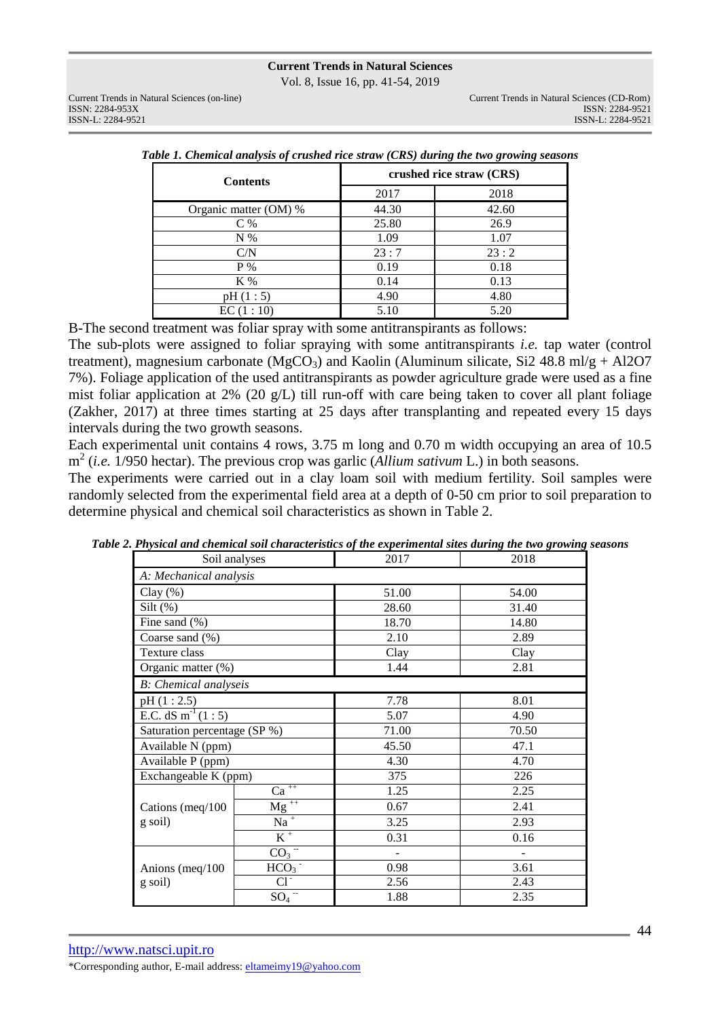Vol. 8, Issue 16, pp. 41-54, 2019

| <b>Contents</b>       | crushed rice straw (CRS) |       |  |  |  |  |  |
|-----------------------|--------------------------|-------|--|--|--|--|--|
|                       | 2017                     | 2018  |  |  |  |  |  |
| Organic matter (OM) % | 44.30                    | 42.60 |  |  |  |  |  |
| $C\%$                 | 25.80                    | 26.9  |  |  |  |  |  |
| $N\%$                 | 1.09                     | 1.07  |  |  |  |  |  |
| C/N                   | 23:7                     | 23:2  |  |  |  |  |  |
| $P\%$                 | 0.19                     | 0.18  |  |  |  |  |  |
| K %                   | 0.14                     | 0.13  |  |  |  |  |  |
| pH(1:5)               | 4.90                     | 4.80  |  |  |  |  |  |
| EC(1:10)              | 5.10                     | 5.20  |  |  |  |  |  |

*Table 1. Chemical analysis of crushed rice straw (CRS) during the two growing seasons* 

B-The second treatment was foliar spray with some antitranspirants as follows:

The sub-plots were assigned to foliar spraying with some antitranspirants *i.e.* tap water (control treatment), magnesium carbonate (MgCO<sub>3</sub>) and Kaolin (Aluminum silicate, Si2 48.8 ml/g + Al2O7 7%). Foliage application of the used antitranspirants as powder agriculture grade were used as a fine mist foliar application at 2% (20 g/L) till run-off with care being taken to cover all plant foliage (Zakher, 2017) at three times starting at 25 days after transplanting and repeated every 15 days intervals during the two growth seasons.

Each experimental unit contains 4 rows, 3.75 m long and 0.70 m width occupying an area of 10.5 m 2 (*i.e.* 1/950 hectar). The previous crop was garlic (*Allium sativum* L.) in both seasons.

The experiments were carried out in a clay loam soil with medium fertility. Soil samples were randomly selected from the experimental field area at a depth of 0-50 cm prior to soil preparation to determine physical and chemical soil characteristics as shown in Table 2.

| Soil analyses                   |                                  | 2017  | 2018  |  |  |
|---------------------------------|----------------------------------|-------|-------|--|--|
| A: Mechanical analysis          |                                  |       |       |  |  |
| Clay $(\%)$                     |                                  | 51.00 | 54.00 |  |  |
| Silt $(\%)$                     |                                  | 28.60 | 31.40 |  |  |
| Fine sand $(\% )$               |                                  | 18.70 | 14.80 |  |  |
| Coarse sand (%)                 |                                  | 2.10  | 2.89  |  |  |
| Texture class                   |                                  | Clay  | Clay  |  |  |
| Organic matter (%)              |                                  | 1.44  | 2.81  |  |  |
| <b>B</b> : Chemical analyseis   |                                  |       |       |  |  |
| pH(1:2.5)                       |                                  | 7.78  | 8.01  |  |  |
| E.C. dS m <sup>-1</sup> $(1:5)$ |                                  | 5.07  | 4.90  |  |  |
| Saturation percentage (SP %)    |                                  | 71.00 | 70.50 |  |  |
| Available N (ppm)               |                                  | 45.50 | 47.1  |  |  |
| Available P (ppm)               |                                  | 4.30  | 4.70  |  |  |
| Exchangeable K (ppm)            |                                  | 375   | 226   |  |  |
|                                 | $Ca$ <sup>++</sup>               | 1.25  | 2.25  |  |  |
| Cations (meq/100                | $Mg^{++}$                        | 0.67  | 2.41  |  |  |
| g soil)                         | $Na$ <sup>+</sup>                | 3.25  | 2.93  |  |  |
|                                 | $K^+$                            | 0.31  | 0.16  |  |  |
|                                 | $CO_3$ <sup><math>=</math></sup> |       |       |  |  |
| Anions (meq/100                 | HCO <sub>3</sub>                 | 0.98  | 3.61  |  |  |
| g soil)                         | $Cl^-$                           | 2.56  | 2.43  |  |  |
|                                 | $SO_4$ <sup>--</sup>             | 1.88  | 2.35  |  |  |

*Table 2. Physical and chemical soil characteristics of the experimental sites during the two growing seasons*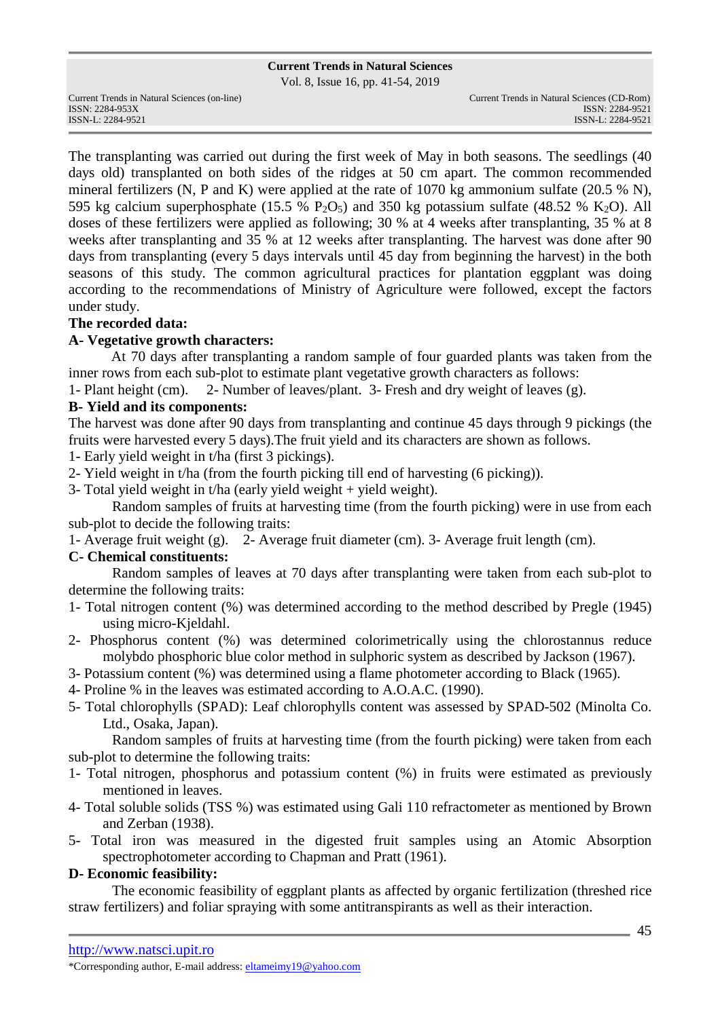Vol. 8, Issue 16, pp. 41-54, 2019

The transplanting was carried out during the first week of May in both seasons. The seedlings (40 days old) transplanted on both sides of the ridges at 50 cm apart. The common recommended mineral fertilizers (N, P and K) were applied at the rate of 1070 kg ammonium sulfate (20.5 % N), 595 kg calcium superphosphate (15.5 % P<sub>2</sub>O<sub>5</sub>) and 350 kg potassium sulfate (48.52 % K<sub>2</sub>O). All doses of these fertilizers were applied as following; 30 % at 4 weeks after transplanting, 35 % at 8 weeks after transplanting and 35 % at 12 weeks after transplanting. The harvest was done after 90 days from transplanting (every 5 days intervals until 45 day from beginning the harvest) in the both seasons of this study. The common agricultural practices for plantation eggplant was doing according to the recommendations of Ministry of Agriculture were followed, except the factors under study.

# **The recorded data:**

### **A- Vegetative growth characters:**

At 70 days after transplanting a random sample of four guarded plants was taken from the inner rows from each sub-plot to estimate plant vegetative growth characters as follows:

1- Plant height (cm). 2- Number of leaves/plant. 3- Fresh and dry weight of leaves (g).

# **B- Yield and its components:**

The harvest was done after 90 days from transplanting and continue 45 days through 9 pickings (the fruits were harvested every 5 days).The fruit yield and its characters are shown as follows.

- 1- Early yield weight in t/ha (first 3 pickings).
- 2- Yield weight in t/ha (from the fourth picking till end of harvesting (6 picking)).
- 3- Total yield weight in t/ha (early yield weight  $+$  yield weight).

Random samples of fruits at harvesting time (from the fourth picking) were in use from each sub-plot to decide the following traits:

1- Average fruit weight (g). 2- Average fruit diameter (cm). 3- Average fruit length (cm).

# **C- Chemical constituents:**

Random samples of leaves at 70 days after transplanting were taken from each sub-plot to determine the following traits:

- 1- Total nitrogen content (%) was determined according to the method described by Pregle (1945) using micro-Kjeldahl.
- 2- Phosphorus content (%) was determined colorimetrically using the chlorostannus reduce molybdo phosphoric blue color method in sulphoric system as described by Jackson (1967).
- 3- Potassium content (%) was determined using a flame photometer according to Black (1965).
- 4- Proline % in the leaves was estimated according to A.O.A.C. (1990).
- 5- Total chlorophylls (SPAD): Leaf chlorophylls content was assessed by SPAD-502 (Minolta Co. Ltd., Osaka, Japan).

Random samples of fruits at harvesting time (from the fourth picking) were taken from each sub-plot to determine the following traits:

- 1- Total nitrogen, phosphorus and potassium content (%) in fruits were estimated as previously mentioned in leaves.
- 4- Total soluble solids (TSS %) was estimated using Gali 110 refractometer as mentioned by Brown and Zerban (1938).
- 5- Total iron was measured in the digested fruit samples using an Atomic Absorption spectrophotometer according to Chapman and Pratt (1961).

### **D- Economic feasibility:**

The economic feasibility of eggplant plants as affected by organic fertilization (threshed rice straw fertilizers) and foliar spraying with some antitranspirants as well as their interaction.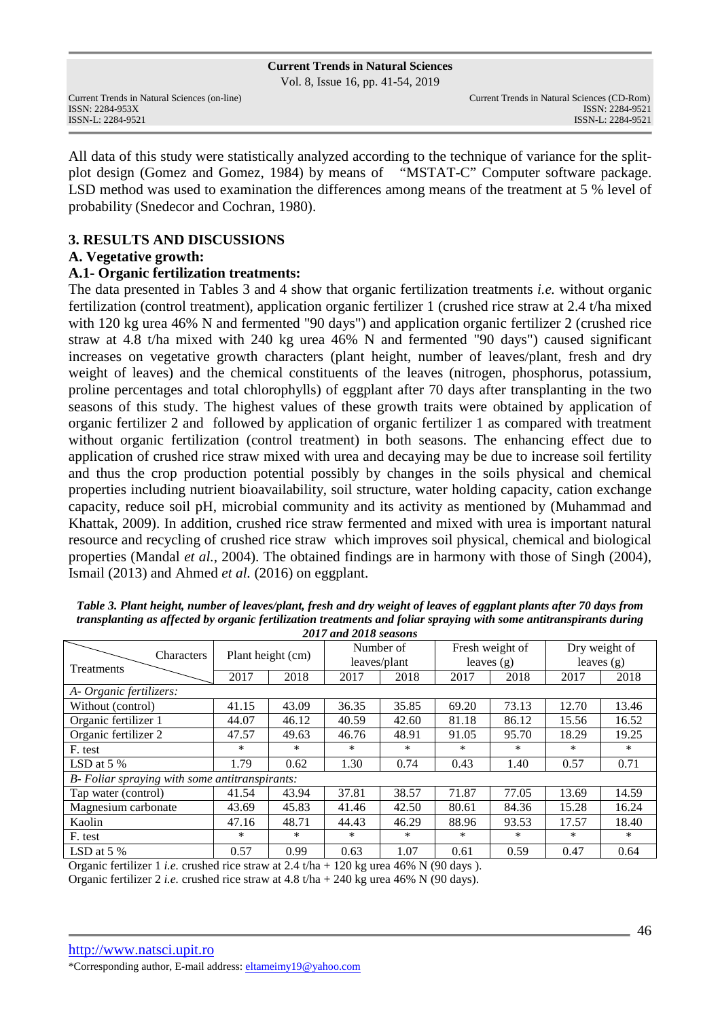Vol. 8, Issue 16, pp. 41-54, 2019

All data of this study were statistically analyzed according to the technique of variance for the splitplot design (Gomez and Gomez, 1984) by means of "MSTAT-C" Computer software package. LSD method was used to examination the differences among means of the treatment at 5 % level of probability (Snedecor and Cochran, 1980).

# **3. RESULTS AND DISCUSSIONS**

# **A. Vegetative growth:**

# **A.1- Organic fertilization treatments:**

The data presented in Tables 3 and 4 show that organic fertilization treatments *i.e.* without organic fertilization (control treatment), application organic fertilizer 1 (crushed rice straw at 2.4 t/ha mixed with 120 kg urea 46% N and fermented "90 days") and application organic fertilizer 2 (crushed rice straw at 4.8 t/ha mixed with 240 kg urea 46% N and fermented "90 days") caused significant increases on vegetative growth characters (plant height, number of leaves/plant, fresh and dry weight of leaves) and the chemical constituents of the leaves (nitrogen, phosphorus, potassium, proline percentages and total chlorophylls) of eggplant after 70 days after transplanting in the two seasons of this study. The highest values of these growth traits were obtained by application of organic fertilizer 2 and followed by application of organic fertilizer 1 as compared with treatment without organic fertilization (control treatment) in both seasons. The enhancing effect due to application of crushed rice straw mixed with urea and decaying may be due to increase soil fertility and thus the crop production potential possibly by changes in the soils physical and chemical properties including nutrient bioavailability, soil structure, water holding capacity, cation exchange capacity, reduce soil pH, microbial community and its activity as mentioned by (Muhammad and Khattak, 2009). In addition, crushed rice straw fermented and mixed with urea is important natural resource and recycling of crushed rice straw which improves soil physical, chemical and biological properties (Mandal *et al.*, 2004). The obtained findings are in harmony with those of Singh (2004), Ismail (2013) and Ahmed *et al.* (2016) on eggplant.

| Characters                                     | Plant height (cm) |        | Number of | leaves/plant | leaves $(g)$ | Fresh weight of | Dry weight of<br>leaves $(g)$ |       |  |
|------------------------------------------------|-------------------|--------|-----------|--------------|--------------|-----------------|-------------------------------|-------|--|
| Treatments                                     | 2017              | 2018   | 2017      | 2018         | 2017         | 2018            | 2017                          | 2018  |  |
| A- Organic fertilizers:                        |                   |        |           |              |              |                 |                               |       |  |
| Without (control)                              | 41.15             | 43.09  | 36.35     | 35.85        | 69.20        | 73.13           | 12.70                         | 13.46 |  |
| Organic fertilizer 1                           | 44.07             | 46.12  | 40.59     | 42.60        | 81.18        | 86.12           | 15.56                         | 16.52 |  |
| Organic fertilizer 2                           | 47.57             | 49.63  | 46.76     | 48.91        | 91.05        | 95.70           | 18.29                         | 19.25 |  |
| F. test                                        | $\ast$            | *      | $\ast$    | *            | $\ast$       | $\ast$          | $\ast$                        | *     |  |
| LSD at $5\%$                                   | 1.79              | 0.62   | 1.30      | 0.74         | 0.43         | 1.40            | 0.57                          | 0.71  |  |
| B- Foliar spraying with some antitranspirants: |                   |        |           |              |              |                 |                               |       |  |
| Tap water (control)                            | 41.54             | 43.94  | 37.81     | 38.57        | 71.87        | 77.05           | 13.69                         | 14.59 |  |
| Magnesium carbonate                            | 43.69             | 45.83  | 41.46     | 42.50        | 80.61        | 84.36           | 15.28                         | 16.24 |  |
| Kaolin                                         | 47.16             | 48.71  | 44.43     | 46.29        | 88.96        | 93.53           | 17.57                         | 18.40 |  |
| F. test                                        | *                 | $\ast$ | *         | *            | *            | *               | *                             | *     |  |
| LSD at $5%$                                    | 0.57              | 0.99   | 0.63      | 1.07         | 0.61         | 0.59            | 0.47                          | 0.64  |  |

*Table 3. Plant height, number of leaves/plant, fresh and dry weight of leaves of eggplant plants after 70 days from transplanting as affected by organic fertilization treatments and foliar spraying with some antitranspirants during 2017 and 2018 seasons* 

Organic fertilizer 1 *i.e.* crushed rice straw at 2.4 t/ha + 120 kg urea 46% N (90 days ). Organic fertilizer 2 *i.e.* crushed rice straw at 4.8 t/ha + 240 kg urea 46% N (90 days).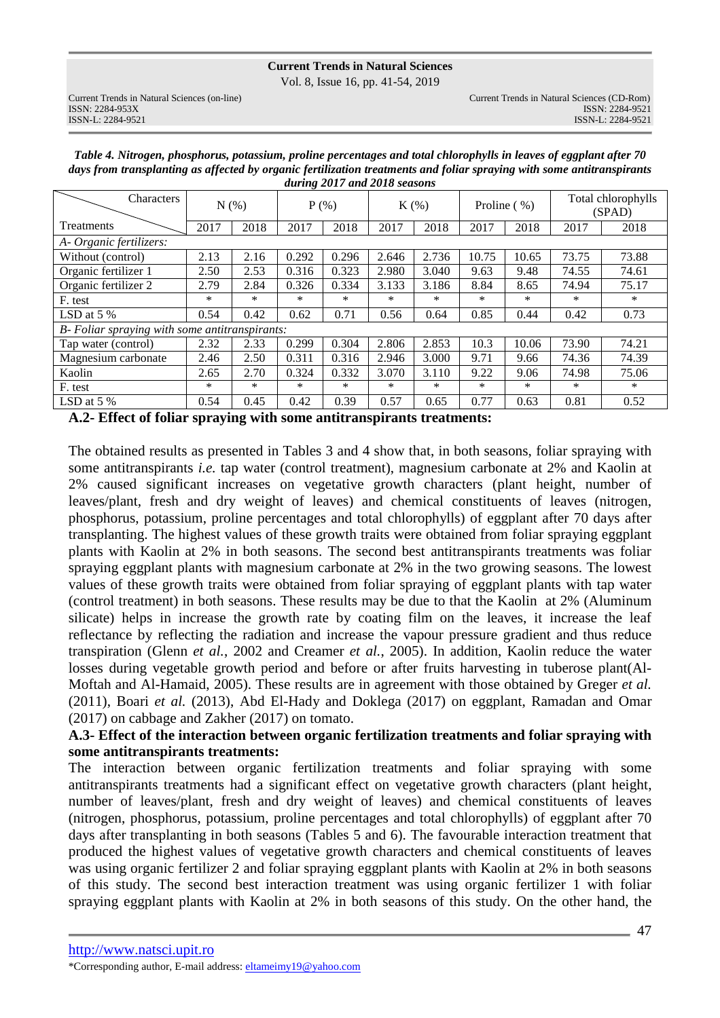Vol. 8, Issue 16, pp. 41-54, 2019

| Table 4. Nitrogen, phosphorus, potassium, proline percentages and total chlorophylls in leaves of eggplant after 70    |
|------------------------------------------------------------------------------------------------------------------------|
| days from transplanting as affected by organic fertilization treatments and foliar spraying with some antitranspirants |
| during 2017 and 2018 seasons                                                                                           |

| Characters                                     | N(% )  |        |        | $P$ (%) |        | $K(\%)$ |        | Proline $(\% )$ |        | Total chlorophylls<br>(SPAD) |  |
|------------------------------------------------|--------|--------|--------|---------|--------|---------|--------|-----------------|--------|------------------------------|--|
| Treatments                                     | 2017   | 2018   |        | 2018    | 2017   | 2018    | 2017   | 2018            | 2017   | 2018                         |  |
| A- Organic fertilizers:                        |        |        |        |         |        |         |        |                 |        |                              |  |
| Without (control)                              | 2.13   | 2.16   | 0.292  | 0.296   | 2.646  | 2.736   | 10.75  | 10.65           | 73.75  | 73.88                        |  |
| Organic fertilizer 1                           | 2.50   | 2.53   | 0.316  | 0.323   | 2.980  | 3.040   | 9.63   | 9.48            | 74.55  | 74.61                        |  |
| Organic fertilizer 2                           | 2.79   | 2.84   | 0.326  | 0.334   | 3.133  | 3.186   | 8.84   | 8.65            | 74.94  | 75.17                        |  |
| F. test                                        | $\ast$ | $\ast$ | *      | $\ast$  | $\ast$ | $\ast$  | $\ast$ | *               | $\ast$ | $\ast$                       |  |
| LSD at $5\%$                                   | 0.54   | 0.42   | 0.62   | 0.71    | 0.56   | 0.64    | 0.85   | 0.44            | 0.42   | 0.73                         |  |
| B- Foliar spraying with some antitranspirants: |        |        |        |         |        |         |        |                 |        |                              |  |
| Tap water (control)                            | 2.32   | 2.33   | 0.299  | 0.304   | 2.806  | 2.853   | 10.3   | 10.06           | 73.90  | 74.21                        |  |
| Magnesium carbonate                            | 2.46   | 2.50   | 0.311  | 0.316   | 2.946  | 3.000   | 9.71   | 9.66            | 74.36  | 74.39                        |  |
| Kaolin                                         | 2.65   | 2.70   | 0.324  | 0.332   | 3.070  | 3.110   | 9.22   | 9.06            | 74.98  | 75.06                        |  |
| F. test                                        | $\ast$ | $\ast$ | $\ast$ | $\ast$  | $\ast$ | $\ast$  | *      | *               | $\ast$ | $\ast$                       |  |
| LSD at $5\%$                                   | 0.54   | 0.45   | 0.42   | 0.39    | 0.57   | 0.65    | 0.77   | 0.63            | 0.81   | 0.52                         |  |

**A.2- Effect of foliar spraying with some antitranspirants treatments:**

The obtained results as presented in Tables 3 and 4 show that, in both seasons, foliar spraying with some antitranspirants *i.e.* tap water (control treatment), magnesium carbonate at 2% and Kaolin at 2% caused significant increases on vegetative growth characters (plant height, number of leaves/plant, fresh and dry weight of leaves) and chemical constituents of leaves (nitrogen, phosphorus, potassium, proline percentages and total chlorophylls) of eggplant after 70 days after transplanting. The highest values of these growth traits were obtained from foliar spraying eggplant plants with Kaolin at 2% in both seasons. The second best antitranspirants treatments was foliar spraying eggplant plants with magnesium carbonate at 2% in the two growing seasons. The lowest values of these growth traits were obtained from foliar spraying of eggplant plants with tap water (control treatment) in both seasons. These results may be due to that the Kaolin at 2% (Aluminum silicate) helps in increase the growth rate by coating film on the leaves, it increase the leaf reflectance by reflecting the radiation and increase the vapour pressure gradient and thus reduce transpiration (Glenn *et al.*, 2002 and Creamer *et al.*, 2005). In addition, Kaolin reduce the water losses during vegetable growth period and before or after fruits harvesting in tuberose plant(Al-Moftah and Al-Hamaid, 2005). These results are in agreement with those obtained by Greger *et al.* (2011), Boari *et al.* (2013), Abd El-Hady and Doklega (2017) on eggplant, Ramadan and Omar (2017) on cabbage and Zakher (2017) on tomato.

### **A.3- Effect of the interaction between organic fertilization treatments and foliar spraying with some antitranspirants treatments:**

The interaction between organic fertilization treatments and foliar spraying with some antitranspirants treatments had a significant effect on vegetative growth characters (plant height, number of leaves/plant, fresh and dry weight of leaves) and chemical constituents of leaves (nitrogen, phosphorus, potassium, proline percentages and total chlorophylls) of eggplant after 70 days after transplanting in both seasons (Tables 5 and 6). The favourable interaction treatment that produced the highest values of vegetative growth characters and chemical constituents of leaves was using organic fertilizer 2 and foliar spraying eggplant plants with Kaolin at 2% in both seasons of this study. The second best interaction treatment was using organic fertilizer 1 with foliar spraying eggplant plants with Kaolin at 2% in both seasons of this study. On the other hand, the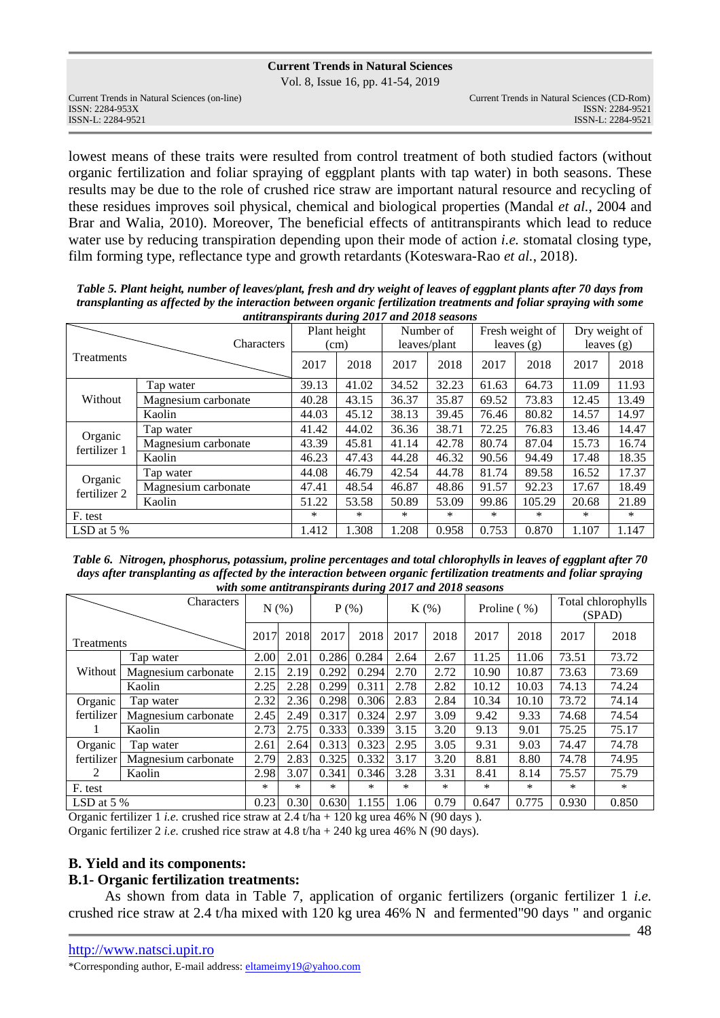Vol. 8, Issue 16, pp. 41-54, 2019

lowest means of these traits were resulted from control treatment of both studied factors (without organic fertilization and foliar spraying of eggplant plants with tap water) in both seasons. These results may be due to the role of crushed rice straw are important natural resource and recycling of these residues improves soil physical, chemical and biological properties (Mandal *et al.*, 2004 and Brar and Walia, 2010). Moreover, The beneficial effects of antitranspirants which lead to reduce water use by reducing transpiration depending upon their mode of action *i.e.* stomatal closing type, film forming type, reflectance type and growth retardants (Koteswara-Rao *et al.*, 2018).

*Table 5. Plant height, number of leaves/plant, fresh and dry weight of leaves of eggplant plants after 70 days from transplanting as affected by the interaction between organic fertilization treatments and foliar spraying with some antitranspirants during 2017 and 2018 seasons*

|                         | annu anspirants auring 2017 and 2010 seasons |        |              |        |              |       |                 |        |               |
|-------------------------|----------------------------------------------|--------|--------------|--------|--------------|-------|-----------------|--------|---------------|
|                         |                                              |        | Plant height |        | Number of    |       | Fresh weight of |        | Dry weight of |
|                         | Characters                                   |        | (cm)         |        | leaves/plant |       | leaves $(g)$    |        | leaves $(g)$  |
| Treatments              |                                              | 2017   | 2018         | 2017   | 2018         | 2017  | 2018            | 2017   | 2018          |
|                         | Tap water                                    | 39.13  | 41.02        | 34.52  | 32.23        | 61.63 | 64.73           | 11.09  | 11.93         |
| Without                 | Magnesium carbonate                          | 40.28  | 43.15        | 36.37  | 35.87        | 69.52 | 73.83           | 12.45  | 13.49         |
|                         | Kaolin                                       |        | 45.12        | 38.13  | 39.45        | 76.46 | 80.82           | 14.57  | 14.97         |
|                         | Tap water                                    | 41.42  | 44.02        | 36.36  | 38.71        | 72.25 | 76.83           | 13.46  | 14.47         |
| Organic<br>fertilizer 1 | Magnesium carbonate                          | 43.39  | 45.81        | 41.14  | 42.78        | 80.74 | 87.04           | 15.73  | 16.74         |
|                         | Kaolin                                       | 46.23  | 47.43        | 44.28  | 46.32        | 90.56 | 94.49           | 17.48  | 18.35         |
| Organic                 | Tap water                                    | 44.08  | 46.79        | 42.54  | 44.78        | 81.74 | 89.58           | 16.52  | 17.37         |
| fertilizer 2            | Magnesium carbonate<br>Kaolin                |        | 48.54        | 46.87  | 48.86        | 91.57 | 92.23           | 17.67  | 18.49         |
|                         |                                              |        | 53.58        | 50.89  | 53.09        | 99.86 | 105.29          | 20.68  | 21.89         |
| F. test                 |                                              | $\ast$ | $\ast$       | $\ast$ | $\ast$       | ∗     | *               | $\ast$ | $\ast$        |
| LSD at $5\%$            |                                              | 1.412  | 1.308        | 1.208  | 0.958        | 0.753 | 0.870           | 1.107  | 1.147         |

*Table 6. Nitrogen, phosphorus, potassium, proline percentages and total chlorophylls in leaves of eggplant after 70 days after transplanting as affected by the interaction between organic fertilization treatments and foliar spraying with some antitranspirants during 2017 and 2018 seasons* 

| <b>Characters</b> |                     | N(% ) |      |        | $P$ (%) |      | $K(\%)$ |       | Proline (%) |       | Total chlorophylls<br>(SPAD) |  |
|-------------------|---------------------|-------|------|--------|---------|------|---------|-------|-------------|-------|------------------------------|--|
| Treatments        |                     | 2017  | 2018 | 2017   | 2018    | 2017 | 2018    | 2017  | 2018        | 2017  | 2018                         |  |
|                   | Tap water           | 2.00  | 2.01 | 0.286  | 0.284   | 2.64 | 2.67    | 11.25 | 11.06       | 73.51 | 73.72                        |  |
| Without           | Magnesium carbonate | 2.15  | 2.19 | 0.292  | 0.294   | 2.70 | 2.72    | 10.90 | 10.87       | 73.63 | 73.69                        |  |
| Kaolin            |                     | 2.25  | 2.28 | 0.299  | 0.311   | 2.78 | 2.82    | 10.12 | 10.03       | 74.13 | 74.24                        |  |
| Organic           | Tap water           | 2.32  | 2.36 | 0.298  | 0.306   | 2.83 | 2.84    | 10.34 | 10.10       | 73.72 | 74.14                        |  |
| fertilizer        | Magnesium carbonate | 2.45  | 2.49 | 0.317  | 0.324   | 2.97 | 3.09    | 9.42  | 9.33        | 74.68 | 74.54                        |  |
|                   | Kaolin              | 2.73  | 2.75 | 0.333  | 0.339   | 3.15 | 3.20    | 9.13  | 9.01        | 75.25 | 75.17                        |  |
| Organic           | Tap water           | 2.61  | 2.64 | 0.313  | 0.323   | 2.95 | 3.05    | 9.31  | 9.03        | 74.47 | 74.78                        |  |
| fertilizer        | Magnesium carbonate | 2.79  | 2.83 | 0.325  | 0.332   | 3.17 | 3.20    | 8.81  | 8.80        | 74.78 | 74.95                        |  |
| 2                 | Kaolin              | 2.98  | 3.07 | 0.341  | 0.346   | 3.28 | 3.31    | 8.41  | 8.14        | 75.57 | 75.79                        |  |
| F. test           |                     | *     | *    | $\ast$ | $\ast$  | *    | $\ast$  | *     | $\ast$      | *     | *                            |  |
| LSD at $5\%$      |                     | 0.23  | 0.30 | 0.630  | 1.155   | 1.06 | 0.79    | 0.647 | 0.775       | 0.930 | 0.850                        |  |

Organic fertilizer 1 *i.e.* crushed rice straw at 2.4 t/ha + 120 kg urea 46% N (90 days ). Organic fertilizer 2 *i.e.* crushed rice straw at 4.8 t/ha + 240 kg urea 46% N (90 days).

### **B. Yield and its components:**

### **B.1- Organic fertilization treatments:**

 As shown from data in Table 7, application of organic fertilizers (organic fertilizer 1 *i.e.*  crushed rice straw at 2.4 t/ha mixed with 120 kg urea 46% N and fermented"90 days " and organic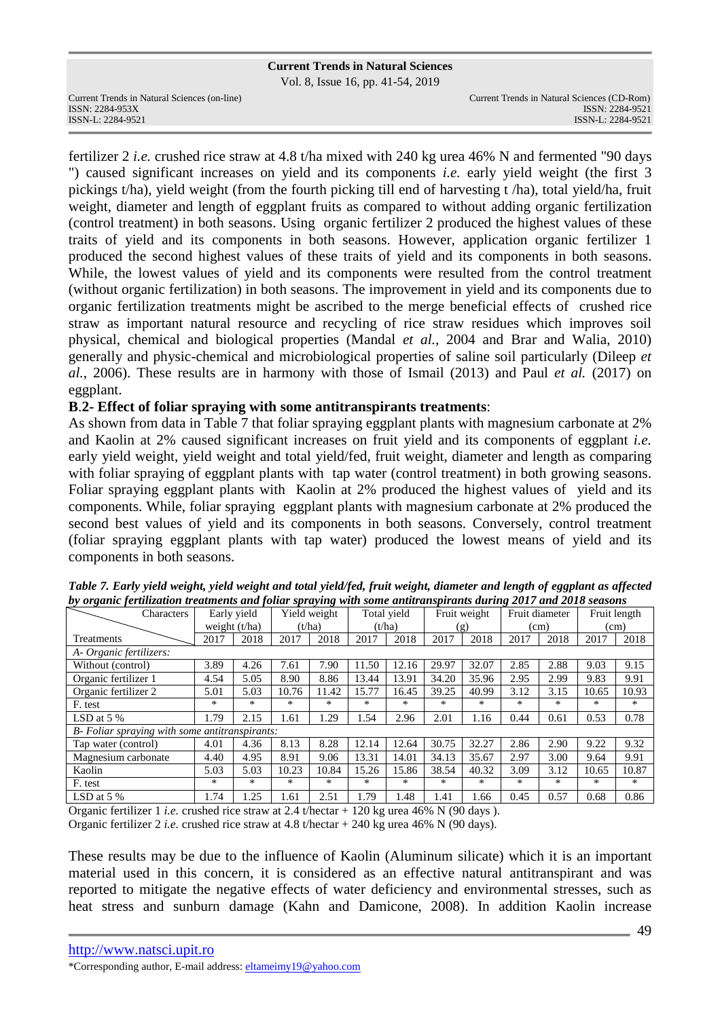Vol. 8, Issue 16, pp. 41-54, 2019

fertilizer 2 *i.e.* crushed rice straw at 4.8 t/ha mixed with 240 kg urea 46% N and fermented "90 days ") caused significant increases on yield and its components *i.e.* early yield weight (the first 3 pickings t/ha), yield weight (from the fourth picking till end of harvesting t /ha), total yield/ha, fruit weight, diameter and length of eggplant fruits as compared to without adding organic fertilization (control treatment) in both seasons. Using organic fertilizer 2 produced the highest values of these traits of yield and its components in both seasons. However, application organic fertilizer 1 produced the second highest values of these traits of yield and its components in both seasons. While, the lowest values of yield and its components were resulted from the control treatment (without organic fertilization) in both seasons. The improvement in yield and its components due to organic fertilization treatments might be ascribed to the merge beneficial effects of crushed rice straw as important natural resource and recycling of rice straw residues which improves soil physical, chemical and biological properties (Mandal *et al.*, 2004 and Brar and Walia, 2010) generally and physic-chemical and microbiological properties of saline soil particularly (Dileep *et al.*, 2006). These results are in harmony with those of Ismail (2013) and Paul *et al.* (2017) on eggplant.

### **B**.**2- Effect of foliar spraying with some antitranspirants treatments**:

As shown from data in Table 7 that foliar spraying eggplant plants with magnesium carbonate at 2% and Kaolin at 2% caused significant increases on fruit yield and its components of eggplant *i.e.*  early yield weight, yield weight and total yield/fed, fruit weight, diameter and length as comparing with foliar spraying of eggplant plants with tap water (control treatment) in both growing seasons. Foliar spraying eggplant plants with Kaolin at 2% produced the highest values of yield and its components. While, foliar spraying eggplant plants with magnesium carbonate at 2% produced the second best values of yield and its components in both seasons. Conversely, control treatment (foliar spraying eggplant plants with tap water) produced the lowest means of yield and its components in both seasons.

| <i>., .</i> .<br>Characters                    | Early yield |                 | Yield weight |        |        | Total yield | Fruit weight |       |      | Fruit diameter | Fruit length |        |
|------------------------------------------------|-------------|-----------------|--------------|--------|--------|-------------|--------------|-------|------|----------------|--------------|--------|
|                                                |             | weight $(t/ha)$ |              | (t/ha) | (t/ha) |             | (g)          |       | (cm) |                |              | (cm)   |
| Treatments                                     | 2017        | 2018            | 2017         | 2018   | 2017   | 2018        | 2017         | 2018  | 2017 | 2018           | 2017         | 2018   |
| A- Organic fertilizers:                        |             |                 |              |        |        |             |              |       |      |                |              |        |
| Without (control)                              | 3.89        | 4.26            | 7.61         | 7.90   | 11.50  | 12.16       | 29.97        | 32.07 | 2.85 | 2.88           | 9.03         | 9.15   |
| Organic fertilizer 1                           | 4.54        | 5.05            | 8.90         | 8.86   | 13.44  | 13.91       | 34.20        | 35.96 | 2.95 | 2.99           | 9.83         | 9.91   |
| Organic fertilizer 2                           | 5.01        | 5.03            | 10.76        | 11.42  | 15.77  | 16.45       | 39.25        | 40.99 | 3.12 | 3.15           | 10.65        | 10.93  |
| F. test                                        | $*$         | $*$             | $*$          | $*$    | $*$    | $*$         | $*$          | $*$   | $*$  | *              | $*$          | $*$    |
| LSD at $5\%$                                   | 1.79        | 2.15            | 1.61         | 1.29   | 1.54   | 2.96        | 2.01         | 1.16  | 0.44 | 0.61           | 0.53         | 0.78   |
| B- Foliar spraying with some antitranspirants: |             |                 |              |        |        |             |              |       |      |                |              |        |
| Tap water (control)                            | 4.01        | 4.36            | 8.13         | 8.28   | 12.14  | 12.64       | 30.75        | 32.27 | 2.86 | 2.90           | 9.22         | 9.32   |
| Magnesium carbonate                            | 4.40        | 4.95            | 8.91         | 9.06   | 13.31  | 14.01       | 34.13        | 35.67 | 2.97 | 3.00           | 9.64         | 9.91   |
| Kaolin                                         | 5.03        | 5.03            | 10.23        | 10.84  | 15.26  | 15.86       | 38.54        | 40.32 | 3.09 | 3.12           | 10.65        | 10.87  |
| F. test                                        | $*$         | $*$             | *            | *      | $*$    | *           | $*$          | $*$   | $*$  | $*$            | *            | $\ast$ |
| LSD at $5%$                                    | 1.74        | 1.25            | 1.61         | 2.51   | 1.79   | 1.48        | 1.41         | 1.66  | 0.45 | 0.57           | 0.68         | 0.86   |

| Table 7. Early yield weight, yield weight and total yield/fed, fruit weight, diameter and length of eggplant as affected |
|--------------------------------------------------------------------------------------------------------------------------|
| by organic fertilization treatments and foliar spraying with some antitranspirants during 2017 and 2018 seasons          |

Organic fertilizer 1 *i.e.* crushed rice straw at 2.4 t/hectar + 120 kg urea 46% N (90 days ). Organic fertilizer 2 *i.e.* crushed rice straw at 4.8 t/hectar + 240 kg urea 46% N (90 days).

These results may be due to the influence of Kaolin (Aluminum silicate) which it is an important material used in this concern, it is considered as an effective natural antitranspirant and was reported to mitigate the negative effects of water deficiency and environmental stresses, such as heat stress and sunburn damage (Kahn and Damicone, 2008). In addition Kaolin increase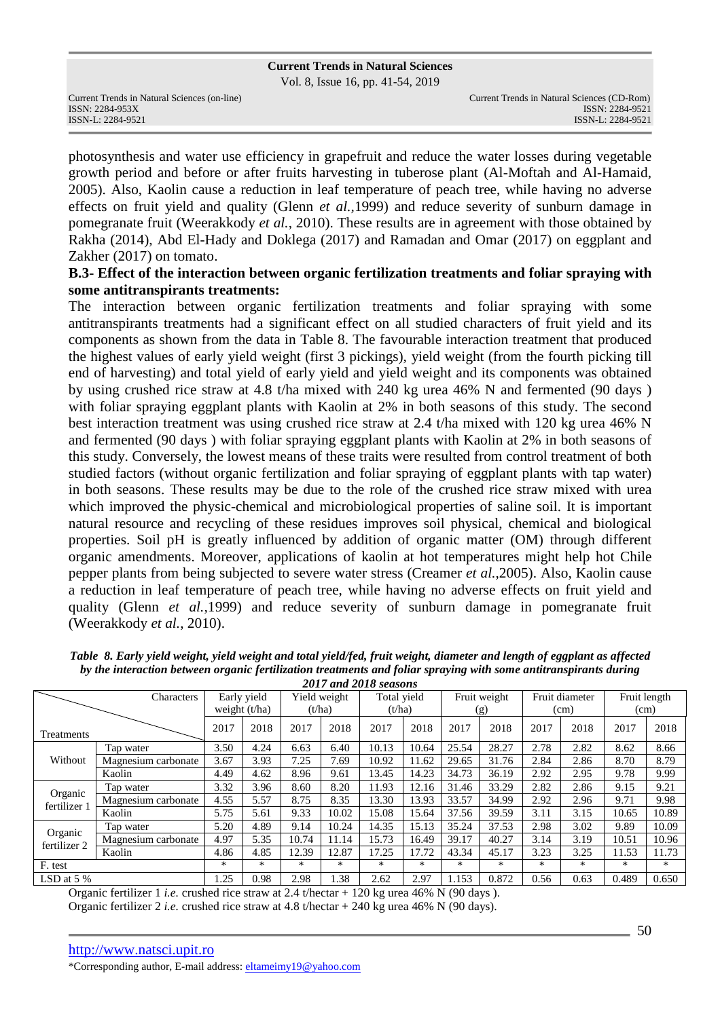Vol. 8, Issue 16, pp. 41-54, 2019

Current Trends in Natural Sciences (on-line) Current Trends in Natural Sciences (CD-Rom)

photosynthesis and water use efficiency in grapefruit and reduce the water losses during vegetable growth period and before or after fruits harvesting in tuberose plant (Al-Moftah and Al-Hamaid, 2005). Also, Kaolin cause a reduction in leaf temperature of peach tree, while having no adverse effects on fruit yield and quality (Glenn *et al.,*1999) and reduce severity of sunburn damage in pomegranate fruit (Weerakkody *et al.*, 2010). These results are in agreement with those obtained by Rakha (2014), Abd El-Hady and Doklega (2017) and Ramadan and Omar (2017) on eggplant and Zakher (2017) on tomato.

### **B.3- Effect of the interaction between organic fertilization treatments and foliar spraying with some antitranspirants treatments:**

The interaction between organic fertilization treatments and foliar spraying with some antitranspirants treatments had a significant effect on all studied characters of fruit yield and its components as shown from the data in Table 8. The favourable interaction treatment that produced the highest values of early yield weight (first 3 pickings), yield weight (from the fourth picking till end of harvesting) and total yield of early yield and yield weight and its components was obtained by using crushed rice straw at 4.8 t/ha mixed with 240 kg urea 46% N and fermented (90 days ) with foliar spraying eggplant plants with Kaolin at 2% in both seasons of this study. The second best interaction treatment was using crushed rice straw at 2.4 t/ha mixed with 120 kg urea 46% N and fermented (90 days ) with foliar spraying eggplant plants with Kaolin at 2% in both seasons of this study. Conversely, the lowest means of these traits were resulted from control treatment of both studied factors (without organic fertilization and foliar spraying of eggplant plants with tap water) in both seasons. These results may be due to the role of the crushed rice straw mixed with urea which improved the physic-chemical and microbiological properties of saline soil. It is important natural resource and recycling of these residues improves soil physical, chemical and biological properties. Soil pH is greatly influenced by addition of organic matter (OM) through different organic amendments. Moreover, applications of kaolin at hot temperatures might help hot Chile pepper plants from being subjected to severe water stress (Creamer *et al.*,2005). Also, Kaolin cause a reduction in leaf temperature of peach tree, while having no adverse effects on fruit yield and quality (Glenn *et al.,*1999) and reduce severity of sunburn damage in pomegranate fruit (Weerakkody *et al.*, 2010).

|                         | Characters          |      | Early yield<br>weight $(t/ha)$ |       | Yield weight<br>(t/ha) | Total vield<br>(t/ha) |       | Fruit weight<br>(g) |       | Fruit diameter<br>(cm) |      |       | Fruit length<br>(cm) |
|-------------------------|---------------------|------|--------------------------------|-------|------------------------|-----------------------|-------|---------------------|-------|------------------------|------|-------|----------------------|
| Treatments              |                     | 2017 | 2018                           | 2017  | 2018                   | 2017                  | 2018  | 2017                | 2018  | 2017                   | 2018 | 2017  | 2018                 |
|                         | Tap water           | 3.50 | 4.24                           | 6.63  | 6.40                   | 10.13                 | 10.64 | 25.54               | 28.27 | 2.78                   | 2.82 | 8.62  | 8.66                 |
| Without                 | Magnesium carbonate | 3.67 | 3.93                           | 7.25  | 7.69                   | 10.92                 | 11.62 | 29.65               | 31.76 | 2.84                   | 2.86 | 8.70  | 8.79                 |
|                         | Kaolin              | 4.49 | 4.62                           | 8.96  | 9.61                   | 13.45                 | 14.23 | 34.73               | 36.19 | 2.92                   | 2.95 | 9.78  | 9.99                 |
|                         | Tap water           | 3.32 | 3.96                           | 8.60  | 8.20                   | 11.93                 | 12.16 | 31.46               | 33.29 | 2.82                   | 2.86 | 9.15  | 9.21                 |
| Organic<br>fertilizer 1 | Magnesium carbonate | 4.55 | 5.57                           | 8.75  | 8.35                   | 13.30                 | 13.93 | 33.57               | 34.99 | 2.92                   | 2.96 | 9.71  | 9.98                 |
|                         | Kaolin              | 5.75 | 5.61                           | 9.33  | 10.02                  | 15.08                 | 15.64 | 37.56               | 39.59 | 3.11                   | 3.15 | 10.65 | 10.89                |
|                         | Tap water           | 5.20 | 4.89                           | 9.14  | 10.24                  | 14.35                 | 15.13 | 35.24               | 37.53 | 2.98                   | 3.02 | 9.89  | 10.09                |
| Organic<br>fertilizer 2 | Magnesium carbonate | 4.97 | 5.35                           | 10.74 | 11.14                  | 15.73                 | 16.49 | 39.17               | 40.27 | 3.14                   | 3.19 | 10.51 | 10.96                |
|                         | Kaolin              | 4.86 | 4.85                           | 12.39 | 12.87                  | 17.25                 | 17.72 | 43.34               | 45.17 | 3.23                   | 3.25 | 11.53 | 11.73                |
| F. test                 |                     | $*$  | *                              | *     | $\ast$                 | *                     | $*$   | *                   | $*$   | $\ast$                 | *    | *     | $*$                  |
| LSD at $5\%$            |                     | .25  | 0.98                           | 2.98  | 1.38                   | 2.62                  | 2.97  | 1.153               | 0.872 | 0.56                   | 0.63 | 0.489 | 0.650                |

*Table 8. Early yield weight, yield weight and total yield/fed, fruit weight, diameter and length of eggplant as affected by the interaction between organic fertilization treatments and foliar spraying with some antitranspirants during 2017 and 2018 seasons* 

Organic fertilizer 1 *i.e.* crushed rice straw at 2.4 t/hectar + 120 kg urea 46% N (90 days ). Organic fertilizer 2 *i.e.* crushed rice straw at 4.8 t/hectar + 240 kg urea 46% N (90 days).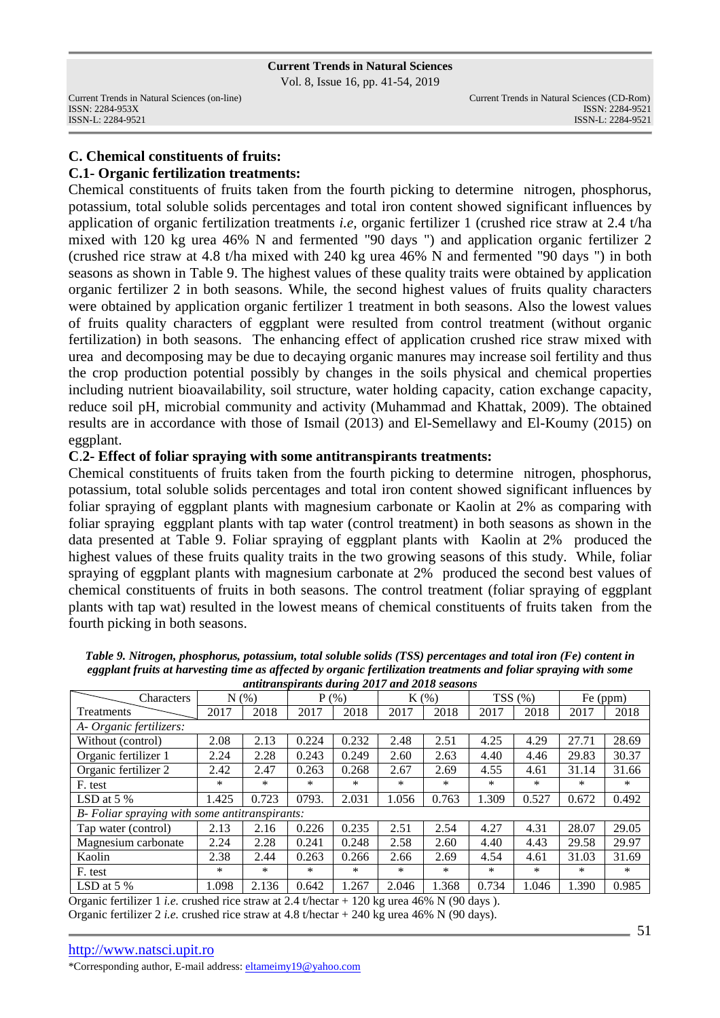Vol. 8, Issue 16, pp. 41-54, 2019

# **C. Chemical constituents of fruits: C.1- Organic fertilization treatments:**

Chemical constituents of fruits taken from the fourth picking to determine nitrogen, phosphorus, potassium, total soluble solids percentages and total iron content showed significant influences by application of organic fertilization treatments *i.e,* organic fertilizer 1 (crushed rice straw at 2.4 t/ha mixed with 120 kg urea 46% N and fermented "90 days ") and application organic fertilizer 2 (crushed rice straw at 4.8 t/ha mixed with 240 kg urea 46% N and fermented "90 days ") in both seasons as shown in Table 9. The highest values of these quality traits were obtained by application organic fertilizer 2 in both seasons. While, the second highest values of fruits quality characters were obtained by application organic fertilizer 1 treatment in both seasons. Also the lowest values of fruits quality characters of eggplant were resulted from control treatment (without organic fertilization) in both seasons. The enhancing effect of application crushed rice straw mixed with urea and decomposing may be due to decaying organic manures may increase soil fertility and thus the crop production potential possibly by changes in the soils physical and chemical properties including nutrient bioavailability, soil structure, water holding capacity, cation exchange capacity, reduce soil pH, microbial community and activity (Muhammad and Khattak, 2009). The obtained results are in accordance with those of Ismail (2013) and El-Semellawy and El-Koumy (2015) on eggplant.

### **C**.**2- Effect of foliar spraying with some antitranspirants treatments:**

Chemical constituents of fruits taken from the fourth picking to determine nitrogen, phosphorus, potassium, total soluble solids percentages and total iron content showed significant influences by foliar spraying of eggplant plants with magnesium carbonate or Kaolin at 2% as comparing with foliar spraying eggplant plants with tap water (control treatment) in both seasons as shown in the data presented at Table 9. Foliar spraying of eggplant plants with Kaolin at 2% produced the highest values of these fruits quality traits in the two growing seasons of this study. While, foliar spraying of eggplant plants with magnesium carbonate at 2% produced the second best values of chemical constituents of fruits in both seasons. The control treatment (foliar spraying of eggplant plants with tap wat) resulted in the lowest means of chemical constituents of fruits taken from the fourth picking in both seasons.

| Characters                                     | N(%   |       | $P(\% )$ |        |        | $K(\%)$ |       | TSS(%) | Fe (ppm) |        |
|------------------------------------------------|-------|-------|----------|--------|--------|---------|-------|--------|----------|--------|
| Treatments                                     | 2017  | 2018  | 2017     | 2018   | 2017   | 2018    | 2017  | 2018   | 2017     | 2018   |
| A- Organic fertilizers:                        |       |       |          |        |        |         |       |        |          |        |
| Without (control)                              | 2.08  | 2.13  | 0.224    | 0.232  | 2.48   | 2.51    | 4.25  | 4.29   | 27.71    | 28.69  |
| Organic fertilizer 1                           | 2.24  | 2.28  | 0.243    | 0.249  | 2.60   | 2.63    | 4.40  | 4.46   | 29.83    | 30.37  |
| Organic fertilizer 2                           | 2.42  | 2.47  | 0.263    | 0.268  | 2.67   | 2.69    | 4.55  | 4.61   | 31.14    | 31.66  |
| F. test                                        | *     | *     | $\ast$   | $\ast$ | $\ast$ | *       | *     | $\ast$ | $\ast$   | $\ast$ |
| LSD at $5\%$                                   | 1.425 | 0.723 | 0793.    | 2.031  | 1.056  | 0.763   | 1.309 | 0.527  | 0.672    | 0.492  |
| B- Foliar spraying with some antitranspirants: |       |       |          |        |        |         |       |        |          |        |
| Tap water (control)                            | 2.13  | 2.16  | 0.226    | 0.235  | 2.51   | 2.54    | 4.27  | 4.31   | 28.07    | 29.05  |
| Magnesium carbonate                            | 2.24  | 2.28  | 0.241    | 0.248  | 2.58   | 2.60    | 4.40  | 4.43   | 29.58    | 29.97  |
| Kaolin                                         | 2.38  | 2.44  | 0.263    | 0.266  | 2.66   | 2.69    | 4.54  | 4.61   | 31.03    | 31.69  |
| F. test                                        | *     | *     | *        | ∗      | *      | *       | *     | *      | $\ast$   | ∗      |
| LSD at $5\%$                                   | 1.098 | 2.136 | 0.642    | 1.267  | 2.046  | 1.368   | 0.734 | 1.046  | 1.390    | 0.985  |

*Table 9. Nitrogen, phosphorus, potassium, total soluble solids (TSS) percentages and total iron (Fe) content in eggplant fruits at harvesting time as affected by organic fertilization treatments and foliar spraying with some antitranspirants during 2017 and 2018 seasons* 

Organic fertilizer 1 *i.e.* crushed rice straw at 2.4 t/hectar + 120 kg urea 46% N (90 days ). Organic fertilizer 2 *i.e.* crushed rice straw at 4.8 t/hectar + 240 kg urea 46% N (90 days).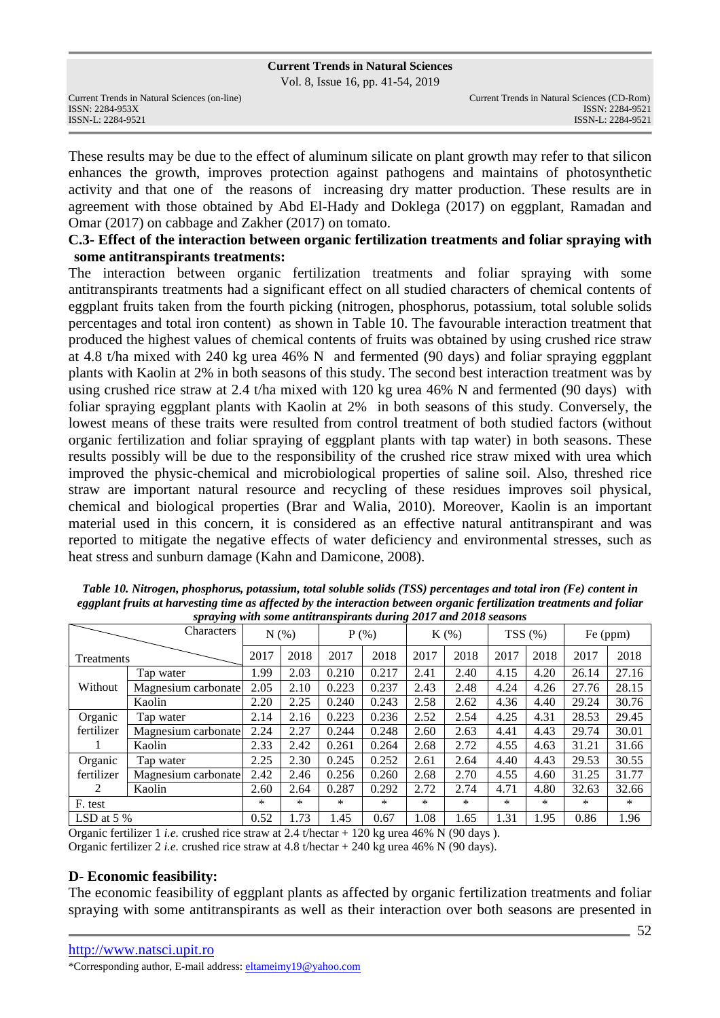Vol. 8, Issue 16, pp. 41-54, 2019

| Current Trends in Natural Sciences (on-line) |
|----------------------------------------------|
| ISSN: 2284-953X                              |
| ISSN-L: 2284-9521                            |

These results may be due to the effect of aluminum silicate on plant growth may refer to that silicon enhances the growth, improves protection against pathogens and maintains of photosynthetic activity and that one of the reasons of increasing dry matter production. These results are in agreement with those obtained by Abd El-Hady and Doklega (2017) on eggplant, Ramadan and Omar (2017) on cabbage and Zakher (2017) on tomato.

### **C.3- Effect of the interaction between organic fertilization treatments and foliar spraying with some antitranspirants treatments:**

The interaction between organic fertilization treatments and foliar spraying with some antitranspirants treatments had a significant effect on all studied characters of chemical contents of eggplant fruits taken from the fourth picking (nitrogen, phosphorus, potassium, total soluble solids percentages and total iron content) as shown in Table 10. The favourable interaction treatment that produced the highest values of chemical contents of fruits was obtained by using crushed rice straw at 4.8 t/ha mixed with 240 kg urea 46% N and fermented (90 days) and foliar spraying eggplant plants with Kaolin at 2% in both seasons of this study. The second best interaction treatment was by using crushed rice straw at 2.4 t/ha mixed with 120 kg urea 46% N and fermented (90 days) with foliar spraying eggplant plants with Kaolin at 2% in both seasons of this study. Conversely, the lowest means of these traits were resulted from control treatment of both studied factors (without organic fertilization and foliar spraying of eggplant plants with tap water) in both seasons. These results possibly will be due to the responsibility of the crushed rice straw mixed with urea which improved the physic-chemical and microbiological properties of saline soil. Also, threshed rice straw are important natural resource and recycling of these residues improves soil physical, chemical and biological properties (Brar and Walia, 2010). Moreover, Kaolin is an important material used in this concern, it is considered as an effective natural antitranspirant and was reported to mitigate the negative effects of water deficiency and environmental stresses, such as heat stress and sunburn damage (Kahn and Damicone, 2008).

| <i>r r r d</i><br>Characters |                     | N(% )  |        | $P$ (%) |        | $K(\%)$ |        | TSS(%) |        | Fe (ppm) |       |
|------------------------------|---------------------|--------|--------|---------|--------|---------|--------|--------|--------|----------|-------|
| Treatments                   |                     | 2017   | 2018   | 2017    | 2018   | 2017    | 2018   | 2017   | 2018   | 2017     | 2018  |
| Without                      | Tap water           | 1.99   | 2.03   | 0.210   | 0.217  | 2.41    | 2.40   | 4.15   | 4.20   | 26.14    | 27.16 |
|                              | Magnesium carbonate | 2.05   | 2.10   | 0.223   | 0.237  | 2.43    | 2.48   | 4.24   | 4.26   | 27.76    | 28.15 |
|                              | Kaolin              | 2.20   | 2.25   | 0.240   | 0.243  | 2.58    | 2.62   | 4.36   | 4.40   | 29.24    | 30.76 |
| Organic                      | Tap water           | 2.14   | 2.16   | 0.223   | 0.236  | 2.52    | 2.54   | 4.25   | 4.31   | 28.53    | 29.45 |
| fertilizer                   | Magnesium carbonate | 2.24   | 2.27   | 0.244   | 0.248  | 2.60    | 2.63   | 4.41   | 4.43   | 29.74    | 30.01 |
|                              | Kaolin              | 2.33   | 2.42   | 0.261   | 0.264  | 2.68    | 2.72   | 4.55   | 4.63   | 31.21    | 31.66 |
| Organic                      | Tap water           | 2.25   | 2.30   | 0.245   | 0.252  | 2.61    | 2.64   | 4.40   | 4.43   | 29.53    | 30.55 |
| fertilizer                   | Magnesium carbonate | 2.42   | 2.46   | 0.256   | 0.260  | 2.68    | 2.70   | 4.55   | 4.60   | 31.25    | 31.77 |
| 2                            | Kaolin              | 2.60   | 2.64   | 0.287   | 0.292  | 2.72    | 2.74   | 4.71   | 4.80   | 32.63    | 32.66 |
| F. test                      |                     | $\ast$ | $\ast$ | $\ast$  | $\ast$ | $\ast$  | $\ast$ | $\ast$ | $\ast$ | *        | *     |
| LSD at $5\%$                 |                     | 0.52   | 1.73   | 1.45    | 0.67   | 1.08    | 1.65   | 1.31   | 1.95   | 0.86     | 1.96  |

*Table 10. Nitrogen, phosphorus, potassium, total soluble solids (TSS) percentages and total iron (Fe) content in eggplant fruits at harvesting time as affected by the interaction between organic fertilization treatments and foliar spraying with some antitranspirants during 2017 and 2018 seasons* 

Organic fertilizer 1 *i.e.* crushed rice straw at 2.4 t/hectar + 120 kg urea 46% N (90 days ). Organic fertilizer 2 *i.e.* crushed rice straw at 4.8 t/hectar + 240 kg urea 46% N (90 days).

# **D- Economic feasibility:**

The economic feasibility of eggplant plants as affected by organic fertilization treatments and foliar spraying with some antitranspirants as well as their interaction over both seasons are presented in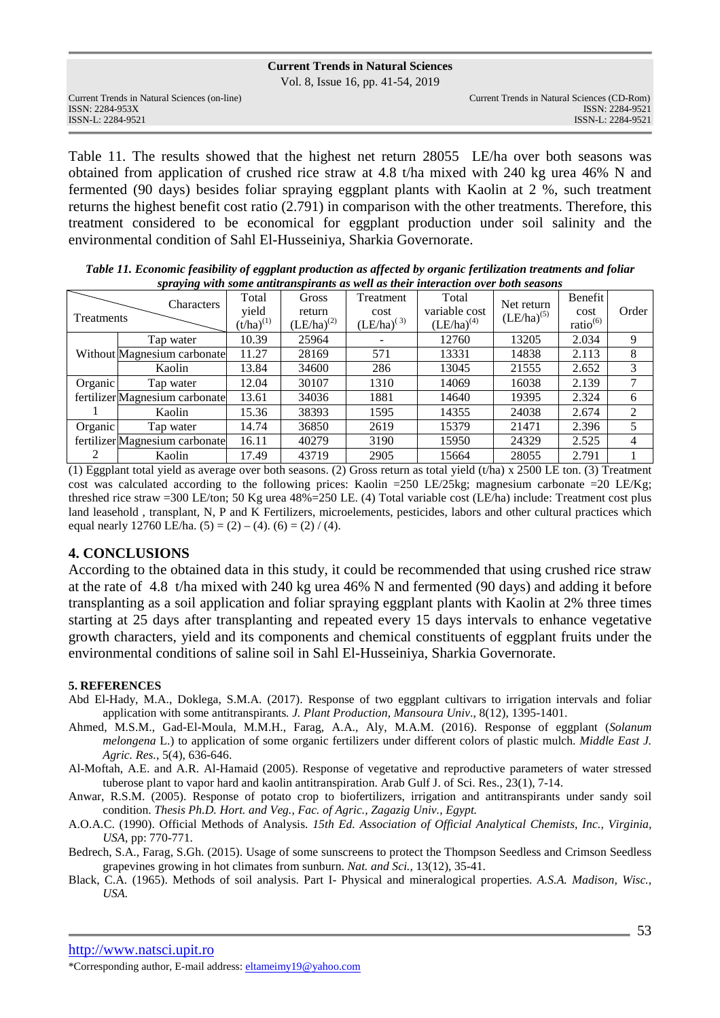Vol. 8, Issue 16, pp. 41-54, 2019

Table 11. The results showed that the highest net return 28055 LE/ha over both seasons was obtained from application of crushed rice straw at 4.8 t/ha mixed with 240 kg urea 46% N and fermented (90 days) besides foliar spraying eggplant plants with Kaolin at 2 %, such treatment returns the highest benefit cost ratio (2.791) in comparison with the other treatments. Therefore, this treatment considered to be economical for eggplant production under soil salinity and the environmental condition of Sahl El-Husseiniya, Sharkia Governorate.

*Table 11. Economic feasibility of eggplant production as affected by organic fertilization treatments and foliar spraying with some antitranspirants as well as their interaction over both seasons* 

|                   | Characters                     | Total                   | Gross                     | Treatment               | Total                            | Net return      |                       |                |
|-------------------|--------------------------------|-------------------------|---------------------------|-------------------------|----------------------------------|-----------------|-----------------------|----------------|
| <b>Treatments</b> |                                | yield<br>$(t/ha)^{(1)}$ | return<br>$(LE/ha)^{(2)}$ | cost<br>$(LE/ha)^{(3)}$ | variable cost<br>$(LE/ha)^{(4)}$ | $(LE/ha)^{(5)}$ | cost<br>$ratio^{(6)}$ | Order          |
|                   | Tap water                      | 10.39                   | 25964                     |                         | 12760                            | 13205           | 2.034                 | 9              |
|                   | Without Magnesium carbonate    | 11.27                   | 28169                     | 571                     | 13331                            | 14838           | 2.113                 | 8              |
|                   | Kaolin                         | 13.84                   | 34600                     | 286                     | 13045                            | 21555           | 2.652                 | 3              |
| Organic           | Tap water                      | 12.04                   | 30107                     | 1310                    | 14069                            | 16038           | 2.139                 | 7              |
|                   | fertilizer Magnesium carbonate | 13.61                   | 34036                     | 1881                    | 14640                            | 19395           | 2.324                 | 6              |
|                   | Kaolin                         | 15.36                   | 38393                     | 1595                    | 14355                            | 24038           | 2.674                 | $\mathfrak{D}$ |
| Organic           | Tap water                      | 14.74                   | 36850                     | 2619                    | 15379                            | 21471           | 2.396                 |                |
|                   | fertilizer Magnesium carbonate | 16.11                   | 40279                     | 3190                    | 15950                            | 24329           | 2.525                 | 4              |
| 2                 | Kaolin                         | 17.49                   | 43719                     | 2905                    | 15664                            | 28055           | 2.791                 |                |

(1) Eggplant total yield as average over both seasons. (2) Gross return as total yield  $(t/ha) \times 2500$  LE ton. (3) Treatment cost was calculated according to the following prices: Kaolin =250 LE/25kg; magnesium carbonate =20 LE/Kg; threshed rice straw =300 LE/ton; 50 Kg urea 48%=250 LE. (4) Total variable cost (LE/ha) include: Treatment cost plus land leasehold , transplant, N, P and K Fertilizers, microelements, pesticides, labors and other cultural practices which equal nearly 12760 LE/ha.  $(5) = (2) - (4)$ .  $(6) = (2) / (4)$ .

#### **4. CONCLUSIONS**

According to the obtained data in this study, it could be recommended that using crushed rice straw at the rate of 4.8 t/ha mixed with 240 kg urea 46% N and fermented (90 days) and adding it before transplanting as a soil application and foliar spraying eggplant plants with Kaolin at 2% three times starting at 25 days after transplanting and repeated every 15 days intervals to enhance vegetative growth characters, yield and its components and chemical constituents of eggplant fruits under the environmental conditions of saline soil in Sahl El-Husseiniya, Sharkia Governorate.

#### **5. REFERENCES**

- Abd El-Hady, M.A., Doklega, S.M.A. (2017). Response of two eggplant cultivars to irrigation intervals and foliar application with some antitranspirants*. J. Plant Production, Mansoura Univ*., 8(12), 1395-1401.
- Ahmed, M.S.M., Gad-El-Moula, M.M.H., Farag, A.A., Aly, M.A.M. (2016). Response of eggplant (*Solanum melongena* L.) to application of some organic fertilizers under different colors of plastic mulch. *Middle East J. Agric. Res.*, 5(4), 636-646.

Al-Moftah, A.E. and A.R. Al-Hamaid (2005). Response of vegetative and reproductive parameters of water stressed tuberose plant to vapor hard and kaolin antitranspiration. Arab Gulf J. of Sci. Res., 23(1), 7-14.

Anwar, R.S.M. (2005). Response of potato crop to biofertilizers, irrigation and antitranspirants under sandy soil condition. *Thesis Ph.D. Hort. and Veg., Fac. of Agric., Zagazig Univ., Egypt.*

- A.O.A.C. (1990). Official Methods of Analysis. *15th Ed. Association of Official Analytical Chemists, Inc., Virginia, USA*, pp: 770-771.
- Bedrech, S.A., Farag, S.Gh. (2015). Usage of some sunscreens to protect the Thompson Seedless and Crimson Seedless grapevines growing in hot climates from sunburn. *Nat. and Sci.,* 13(12), 35-41.
- Black, C.A. (1965). Methods of soil analysis. Part I- Physical and mineralogical properties. *A.S.A. Madison, Wisc., USA.*

http://www.natsci.upit.ro